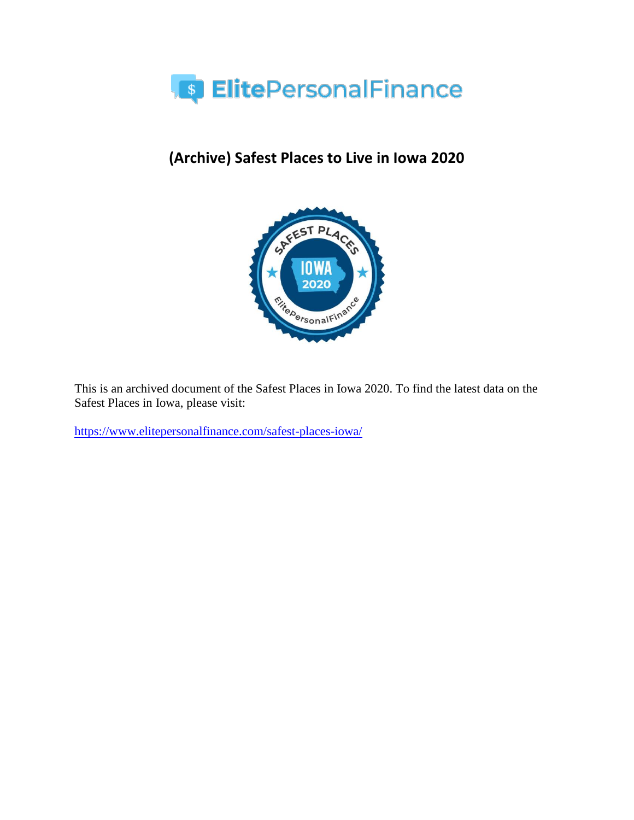

# **(Archive) Safest Places to Live in Iowa 2020**



This is an archived document of the Safest Places in Iowa 2020. To find the latest data on the Safest Places in Iowa, please visit:

<https://www.elitepersonalfinance.com/safest-places-iowa/>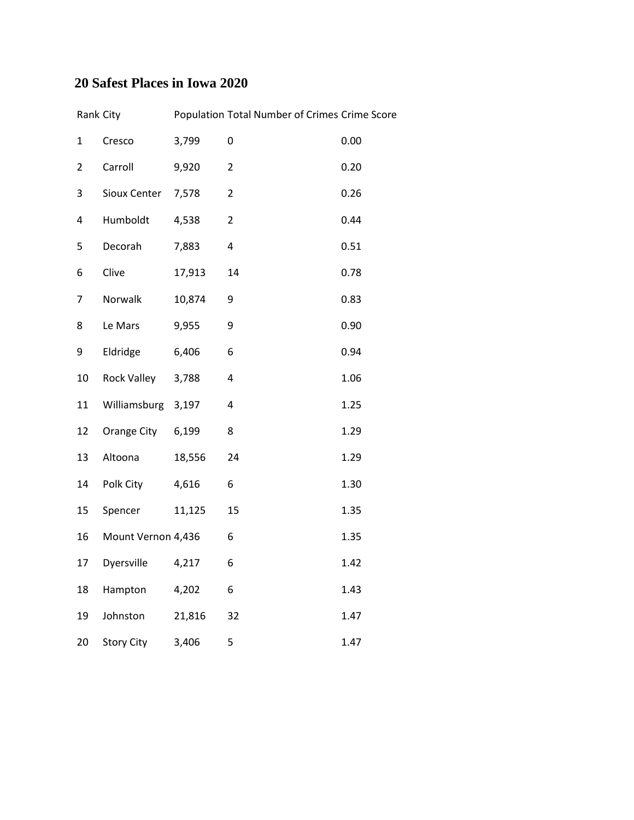### **20 Safest Places in Iowa 2020**

| Rank City      |                    |        | Population Total Number of Crimes Crime Score |      |
|----------------|--------------------|--------|-----------------------------------------------|------|
| 1              | Cresco             | 3,799  | 0                                             | 0.00 |
| $\overline{2}$ | Carroll            | 9,920  | 2                                             | 0.20 |
| 3              | Sioux Center       | 7,578  | $\overline{2}$                                | 0.26 |
| 4              | Humboldt           | 4,538  | $\overline{2}$                                | 0.44 |
| 5              | Decorah            | 7,883  | $\overline{\mathbf{4}}$                       | 0.51 |
| 6              | Clive              | 17,913 | 14                                            | 0.78 |
| 7              | Norwalk            | 10,874 | 9                                             | 0.83 |
| 8              | Le Mars            | 9,955  | 9                                             | 0.90 |
| 9              | Eldridge           | 6,406  | 6                                             | 0.94 |
| 10             | Rock Valley        | 3,788  | 4                                             | 1.06 |
| $11\,$         | Williamsburg       | 3,197  | $\overline{\mathbf{4}}$                       | 1.25 |
| 12             | Orange City        | 6,199  | 8                                             | 1.29 |
| 13             | Altoona            | 18,556 | 24                                            | 1.29 |
| 14             | Polk City          | 4,616  | 6                                             | 1.30 |
| 15             | Spencer            | 11,125 | 15                                            | 1.35 |
| 16             | Mount Vernon 4,436 |        | 6                                             | 1.35 |
| 17             | Dyersville         | 4,217  | 6                                             | 1.42 |
| 18             | Hampton            | 4,202  | 6                                             | 1.43 |
| 19             | Johnston           | 21,816 | 32                                            | 1.47 |
| 20             | <b>Story City</b>  | 3,406  | 5                                             | 1.47 |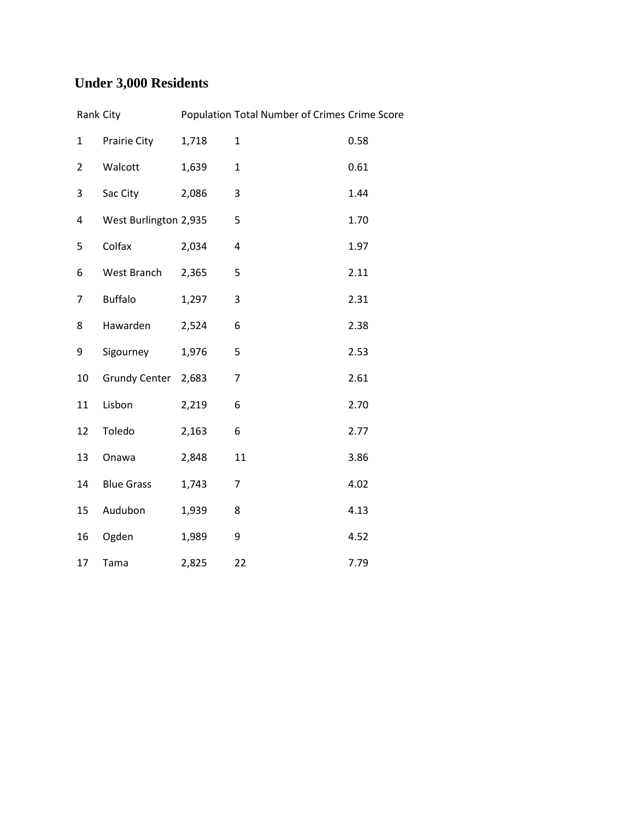## **Under 3,000 Residents**

| Rank City      |                       |       | Population Total Number of Crimes Crime Score |      |
|----------------|-----------------------|-------|-----------------------------------------------|------|
| $\mathbf 1$    | Prairie City          | 1,718 | $\mathbf{1}$                                  | 0.58 |
| $\overline{2}$ | Walcott               | 1,639 | $\mathbf{1}$                                  | 0.61 |
| 3              | Sac City              | 2,086 | 3                                             | 1.44 |
| 4              | West Burlington 2,935 |       | 5                                             | 1.70 |
| 5              | Colfax                | 2,034 | 4                                             | 1.97 |
| 6              | West Branch           | 2,365 | 5                                             | 2.11 |
| 7              | <b>Buffalo</b>        | 1,297 | 3                                             | 2.31 |
| 8              | Hawarden              | 2,524 | 6                                             | 2.38 |
| 9              | Sigourney             | 1,976 | 5                                             | 2.53 |
| 10             | <b>Grundy Center</b>  | 2,683 | $\overline{7}$                                | 2.61 |
| 11             | Lisbon                | 2,219 | 6                                             | 2.70 |
| 12             | Toledo                | 2,163 | 6                                             | 2.77 |
| 13             | Onawa                 | 2,848 | 11                                            | 3.86 |
| 14             | <b>Blue Grass</b>     | 1,743 | 7                                             | 4.02 |
| 15             | Audubon               | 1,939 | 8                                             | 4.13 |
| 16             | Ogden                 | 1,989 | 9                                             | 4.52 |
| 17             | Tama                  | 2,825 | 22                                            | 7.79 |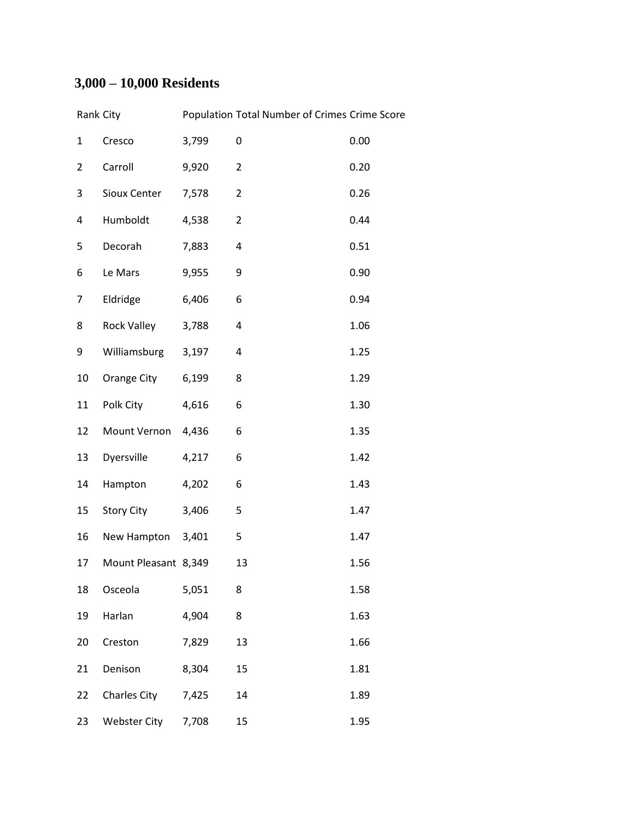## **3,000 – 10,000 Residents**

|                | Rank City            |       | Population Total Number of Crimes Crime Score |      |
|----------------|----------------------|-------|-----------------------------------------------|------|
| $\mathbf{1}$   | Cresco               | 3,799 | 0                                             | 0.00 |
| $\overline{2}$ | Carroll              | 9,920 | $\overline{2}$                                | 0.20 |
| 3              | Sioux Center         | 7,578 | $\overline{2}$                                | 0.26 |
| 4              | Humboldt             | 4,538 | $\overline{2}$                                | 0.44 |
| 5              | Decorah              | 7,883 | 4                                             | 0.51 |
| 6              | Le Mars              | 9,955 | 9                                             | 0.90 |
| 7              | Eldridge             | 6,406 | 6                                             | 0.94 |
| 8              | Rock Valley          | 3,788 | 4                                             | 1.06 |
| 9              | Williamsburg         | 3,197 | 4                                             | 1.25 |
| 10             | Orange City          | 6,199 | 8                                             | 1.29 |
| 11             | Polk City            | 4,616 | 6                                             | 1.30 |
| 12             | Mount Vernon         | 4,436 | 6                                             | 1.35 |
| 13             | Dyersville           | 4,217 | 6                                             | 1.42 |
| 14             | Hampton              | 4,202 | 6                                             | 1.43 |
| 15             | Story City           | 3,406 | 5                                             | 1.47 |
| 16             | New Hampton 3,401    |       | 5                                             | 1.47 |
| 17             | Mount Pleasant 8,349 |       | 13                                            | 1.56 |
| 18             | Osceola              | 5,051 | 8                                             | 1.58 |
| 19             | Harlan               | 4,904 | 8                                             | 1.63 |
| 20             | Creston              | 7,829 | 13                                            | 1.66 |
| 21             | Denison              | 8,304 | 15                                            | 1.81 |
| 22             | <b>Charles City</b>  | 7,425 | 14                                            | 1.89 |
| 23             | <b>Webster City</b>  | 7,708 | 15                                            | 1.95 |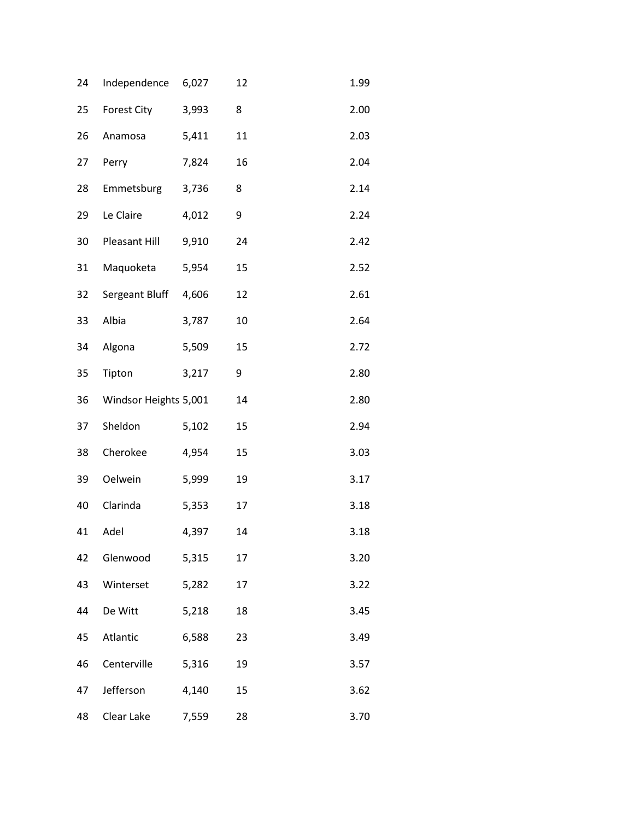| 24 | Independence          | 6,027 | 12 | 1.99 |
|----|-----------------------|-------|----|------|
| 25 | Forest City           | 3,993 | 8  | 2.00 |
| 26 | Anamosa               | 5,411 | 11 | 2.03 |
| 27 | Perry                 | 7,824 | 16 | 2.04 |
| 28 | Emmetsburg            | 3,736 | 8  | 2.14 |
| 29 | Le Claire             | 4,012 | 9  | 2.24 |
| 30 | Pleasant Hill         | 9,910 | 24 | 2.42 |
| 31 | Maquoketa             | 5,954 | 15 | 2.52 |
| 32 | Sergeant Bluff        | 4,606 | 12 | 2.61 |
| 33 | Albia                 | 3,787 | 10 | 2.64 |
| 34 | Algona                | 5,509 | 15 | 2.72 |
| 35 | Tipton                | 3,217 | 9  | 2.80 |
| 36 | Windsor Heights 5,001 |       | 14 | 2.80 |
| 37 | Sheldon               | 5,102 | 15 | 2.94 |
| 38 | Cherokee              | 4,954 | 15 | 3.03 |
| 39 | <b>Oelwein</b>        | 5,999 | 19 | 3.17 |
| 40 | Clarinda              | 5,353 | 17 | 3.18 |
| 41 | Adel                  | 4,397 | 14 | 3.18 |
| 42 | Glenwood              | 5,315 | 17 | 3.20 |
| 43 | Winterset             | 5,282 | 17 | 3.22 |
| 44 | De Witt               | 5,218 | 18 | 3.45 |
| 45 | Atlantic              | 6,588 | 23 | 3.49 |
| 46 | Centerville           | 5,316 | 19 | 3.57 |
| 47 | Jefferson             | 4,140 | 15 | 3.62 |
| 48 | Clear Lake            | 7,559 | 28 | 3.70 |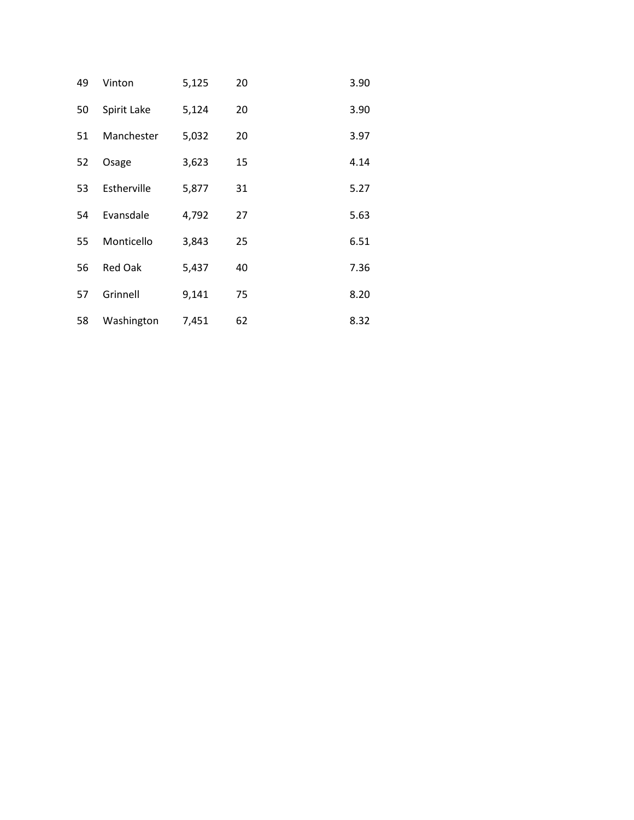| 49 | Vinton         | 5,125 | 20 | 3.90 |
|----|----------------|-------|----|------|
| 50 | Spirit Lake    | 5,124 | 20 | 3.90 |
| 51 | Manchester     | 5,032 | 20 | 3.97 |
| 52 | Osage          | 3,623 | 15 | 4.14 |
| 53 | Estherville    | 5,877 | 31 | 5.27 |
| 54 | Evansdale      | 4,792 | 27 | 5.63 |
| 55 | Monticello     | 3,843 | 25 | 6.51 |
| 56 | <b>Red Oak</b> | 5,437 | 40 | 7.36 |
| 57 | Grinnell       | 9,141 | 75 | 8.20 |
| 58 | Washington     | 7,451 | 62 | 8.32 |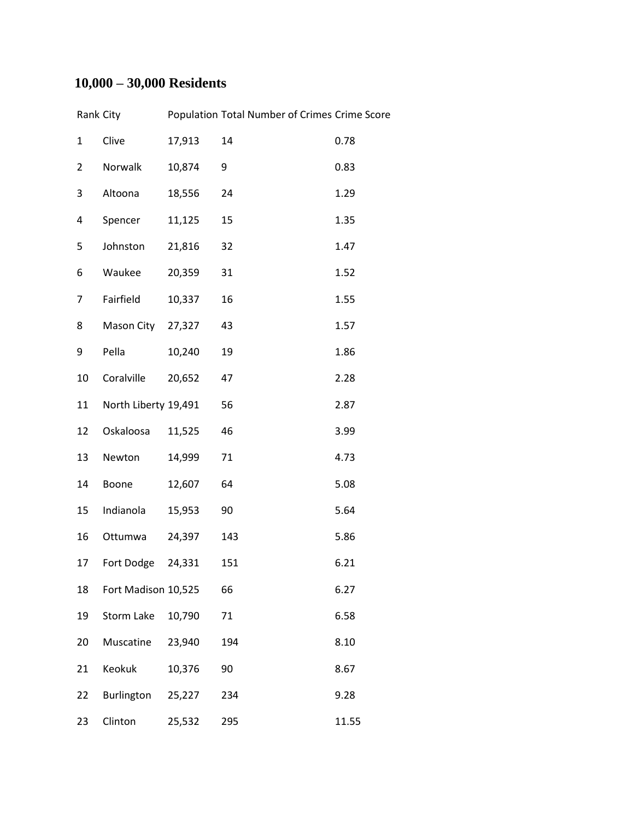## **10,000 – 30,000 Residents**

|                 | Rank City            |        | Population Total Number of Crimes Crime Score |       |
|-----------------|----------------------|--------|-----------------------------------------------|-------|
| $\mathbf{1}$    | Clive                | 17,913 | 14                                            | 0.78  |
| $\overline{2}$  | Norwalk              | 10,874 | 9                                             | 0.83  |
| 3               | Altoona              | 18,556 | 24                                            | 1.29  |
| 4               | Spencer              | 11,125 | 15                                            | 1.35  |
| 5               | Johnston             | 21,816 | 32                                            | 1.47  |
| 6               | Waukee               | 20,359 | 31                                            | 1.52  |
| 7               | Fairfield            | 10,337 | 16                                            | 1.55  |
| 8               | Mason City 27,327    |        | 43                                            | 1.57  |
| 9               | Pella                | 10,240 | 19                                            | 1.86  |
| 10              | Coralville           | 20,652 | 47                                            | 2.28  |
| 11              | North Liberty 19,491 |        | 56                                            | 2.87  |
| 12              | Oskaloosa            | 11,525 | 46                                            | 3.99  |
| 13              | Newton               | 14,999 | 71                                            | 4.73  |
| 14              | Boone                | 12,607 | 64                                            | 5.08  |
| 15 <sub>1</sub> | Indianola            | 15,953 | 90                                            | 5.64  |
| 16              | Ottumwa              | 24,397 | 143                                           | 5.86  |
| 17              | Fort Dodge 24,331    |        | 151                                           | 6.21  |
| 18              | Fort Madison 10,525  |        | 66                                            | 6.27  |
| 19              | Storm Lake           | 10,790 | 71                                            | 6.58  |
| 20              | Muscatine            | 23,940 | 194                                           | 8.10  |
| 21              | Keokuk               | 10,376 | 90                                            | 8.67  |
| 22              | Burlington           | 25,227 | 234                                           | 9.28  |
| 23              | Clinton              | 25,532 | 295                                           | 11.55 |